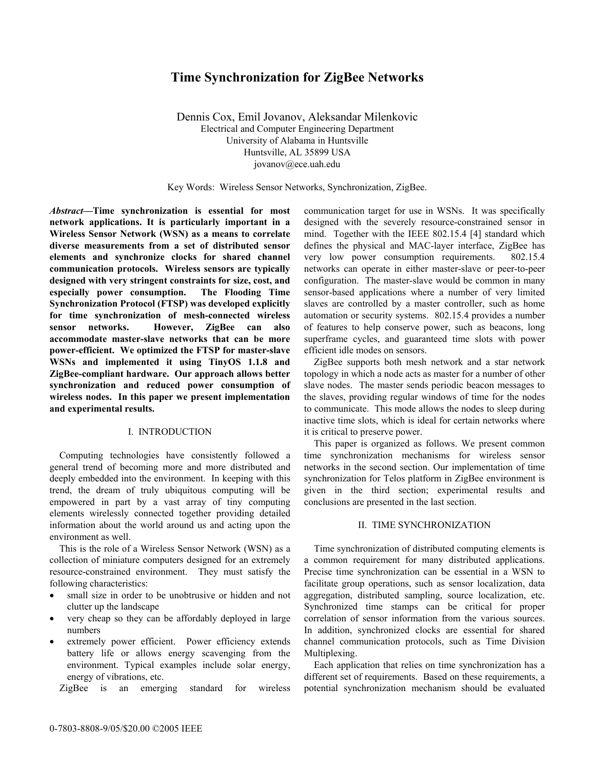# **Time Synchronization for ZigBee Networks**

Dennis Cox, Emil Jovanov, Aleksandar Milenkovic Electrical and Computer Engineering Department University of Alabama in Huntsville Huntsville, AL 35899 USA jovanov@ece.uah.edu

Key Words: Wireless Sensor Networks, Synchronization, ZigBee.

*Abstract***—Time synchronization is essential for most network applications. It is particularly important in a Wireless Sensor Network (WSN) as a means to correlate diverse measurements from a set of distributed sensor elements and synchronize clocks for shared channel communication protocols. Wireless sensors are typically designed with very stringent constraints for size, cost, and especially power consumption. The Flooding Time Synchronization Protocol (FTSP) was developed explicitly for time synchronization of mesh-connected wireless sensor networks. However, ZigBee can also accommodate master-slave networks that can be more power-efficient. We optimized the FTSP for master-slave WSNs and implemented it using TinyOS 1.1.8 and ZigBee-compliant hardware. Our approach allows better synchronization and reduced power consumption of wireless nodes. In this paper we present implementation and experimental results.** 

### I. INTRODUCTION

 Computing technologies have consistently followed a general trend of becoming more and more distributed and deeply embedded into the environment. In keeping with this trend, the dream of truly ubiquitous computing will be empowered in part by a vast array of tiny computing elements wirelessly connected together providing detailed information about the world around us and acting upon the environment as well.

 This is the role of a Wireless Sensor Network (WSN) as a collection of miniature computers designed for an extremely resource-constrained environment. They must satisfy the following characteristics:

- small size in order to be unobtrusive or hidden and not clutter up the landscape
- very cheap so they can be affordably deployed in large numbers
- extremely power efficient. Power efficiency extends battery life or allows energy scavenging from the environment. Typical examples include solar energy, energy of vibrations, etc.

ZigBee is an emerging standard for wireless

communication target for use in WSNs. It was specifically designed with the severely resource-constrained sensor in mind. Together with the IEEE 802.15.4 [4] standard which defines the physical and MAC-layer interface, ZigBee has very low power consumption requirements. 802.15.4 networks can operate in either master-slave or peer-to-peer configuration. The master-slave would be common in many sensor-based applications where a number of very limited slaves are controlled by a master controller, such as home automation or security systems. 802.15.4 provides a number of features to help conserve power, such as beacons, long superframe cycles, and guaranteed time slots with power efficient idle modes on sensors.

 ZigBee supports both mesh network and a star network topology in which a node acts as master for a number of other slave nodes. The master sends periodic beacon messages to the slaves, providing regular windows of time for the nodes to communicate. This mode allows the nodes to sleep during inactive time slots, which is ideal for certain networks where it is critical to preserve power.

 This paper is organized as follows. We present common time synchronization mechanisms for wireless sensor networks in the second section. Our implementation of time synchronization for Telos platform in ZigBee environment is given in the third section; experimental results and conclusions are presented in the last section.

### II. TIME SYNCHRONIZATION

 Time synchronization of distributed computing elements is a common requirement for many distributed applications. Precise time synchronization can be essential in a WSN to facilitate group operations, such as sensor localization, data aggregation, distributed sampling, source localization, etc. Synchronized time stamps can be critical for proper correlation of sensor information from the various sources. In addition, synchronized clocks are essential for shared channel communication protocols, such as Time Division Multiplexing.

 Each application that relies on time synchronization has a different set of requirements. Based on these requirements, a potential synchronization mechanism should be evaluated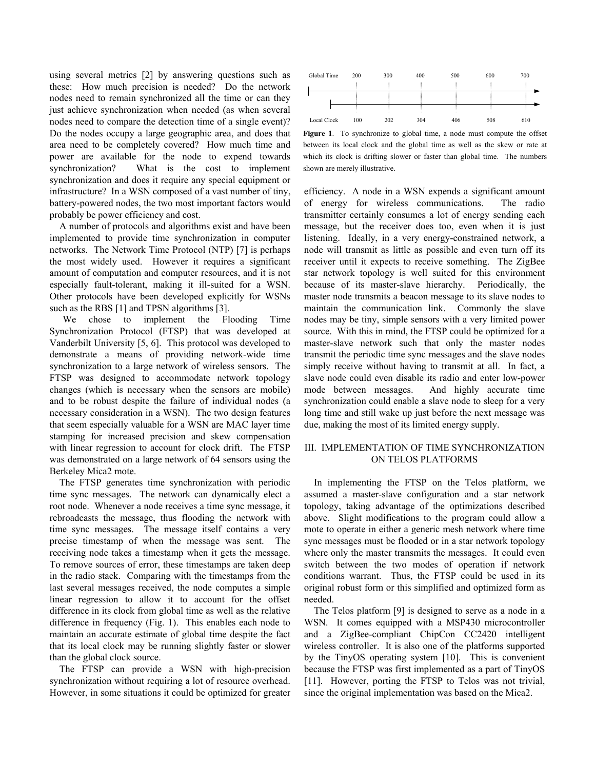using several metrics [2] by answering questions such as these: How much precision is needed? Do the network nodes need to remain synchronized all the time or can they just achieve synchronization when needed (as when several nodes need to compare the detection time of a single event)? Do the nodes occupy a large geographic area, and does that area need to be completely covered? How much time and power are available for the node to expend towards synchronization? What is the cost to implement synchronization and does it require any special equipment or infrastructure? In a WSN composed of a vast number of tiny, battery-powered nodes, the two most important factors would probably be power efficiency and cost.

 A number of protocols and algorithms exist and have been implemented to provide time synchronization in computer networks. The Network Time Protocol (NTP) [7] is perhaps the most widely used. However it requires a significant amount of computation and computer resources, and it is not especially fault-tolerant, making it ill-suited for a WSN. Other protocols have been developed explicitly for WSNs such as the RBS [1] and TPSN algorithms [3].

 We chose to implement the Flooding Time Synchronization Protocol (FTSP) that was developed at Vanderbilt University [5, 6]. This protocol was developed to demonstrate a means of providing network-wide time synchronization to a large network of wireless sensors. The FTSP was designed to accommodate network topology changes (which is necessary when the sensors are mobile) and to be robust despite the failure of individual nodes (a necessary consideration in a WSN). The two design features that seem especially valuable for a WSN are MAC layer time stamping for increased precision and skew compensation with linear regression to account for clock drift. The FTSP was demonstrated on a large network of 64 sensors using the Berkeley Mica2 mote.

 The FTSP generates time synchronization with periodic time sync messages. The network can dynamically elect a root node. Whenever a node receives a time sync message, it rebroadcasts the message, thus flooding the network with time sync messages. The message itself contains a very precise timestamp of when the message was sent. The receiving node takes a timestamp when it gets the message. To remove sources of error, these timestamps are taken deep in the radio stack. Comparing with the timestamps from the last several messages received, the node computes a simple linear regression to allow it to account for the offset difference in its clock from global time as well as the relative difference in frequency (Fig. 1). This enables each node to maintain an accurate estimate of global time despite the fact that its local clock may be running slightly faster or slower than the global clock source.

 The FTSP can provide a WSN with high-precision synchronization without requiring a lot of resource overhead. However, in some situations it could be optimized for greater



**Figure 1**. To synchronize to global time, a node must compute the offset between its local clock and the global time as well as the skew or rate at which its clock is drifting slower or faster than global time. The numbers shown are merely illustrative.

efficiency. A node in a WSN expends a significant amount of energy for wireless communications. The radio transmitter certainly consumes a lot of energy sending each message, but the receiver does too, even when it is just listening. Ideally, in a very energy-constrained network, a node will transmit as little as possible and even turn off its receiver until it expects to receive something. The ZigBee star network topology is well suited for this environment because of its master-slave hierarchy. Periodically, the master node transmits a beacon message to its slave nodes to maintain the communication link. Commonly the slave nodes may be tiny, simple sensors with a very limited power source. With this in mind, the FTSP could be optimized for a master-slave network such that only the master nodes transmit the periodic time sync messages and the slave nodes simply receive without having to transmit at all. In fact, a slave node could even disable its radio and enter low-power mode between messages. And highly accurate time synchronization could enable a slave node to sleep for a very long time and still wake up just before the next message was due, making the most of its limited energy supply.

## III. IMPLEMENTATION OF TIME SYNCHRONIZATION ON TELOS PLATFORMS

 In implementing the FTSP on the Telos platform, we assumed a master-slave configuration and a star network topology, taking advantage of the optimizations described above. Slight modifications to the program could allow a mote to operate in either a generic mesh network where time sync messages must be flooded or in a star network topology where only the master transmits the messages. It could even switch between the two modes of operation if network conditions warrant. Thus, the FTSP could be used in its original robust form or this simplified and optimized form as needed.

 The Telos platform [9] is designed to serve as a node in a WSN. It comes equipped with a MSP430 microcontroller and a ZigBee-compliant ChipCon CC2420 intelligent wireless controller. It is also one of the platforms supported by the TinyOS operating system [10]. This is convenient because the FTSP was first implemented as a part of TinyOS [11]. However, porting the FTSP to Telos was not trivial, since the original implementation was based on the Mica2.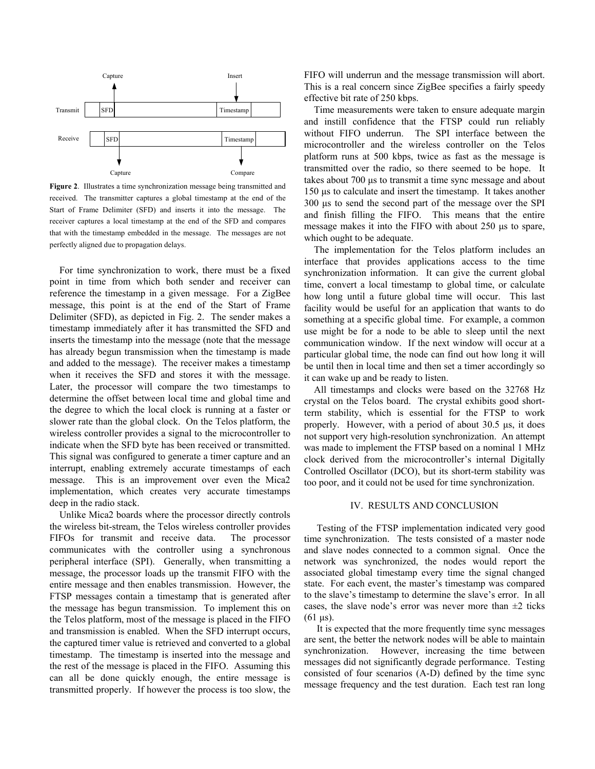

**Figure 2**. Illustrates a time synchronization message being transmitted and received. The transmitter captures a global timestamp at the end of the Start of Frame Delimiter (SFD) and inserts it into the message. The receiver captures a local timestamp at the end of the SFD and compares that with the timestamp embedded in the message. The messages are not perfectly aligned due to propagation delays.

 For time synchronization to work, there must be a fixed point in time from which both sender and receiver can reference the timestamp in a given message. For a ZigBee message, this point is at the end of the Start of Frame Delimiter (SFD), as depicted in Fig. 2. The sender makes a timestamp immediately after it has transmitted the SFD and inserts the timestamp into the message (note that the message has already begun transmission when the timestamp is made and added to the message). The receiver makes a timestamp when it receives the SFD and stores it with the message. Later, the processor will compare the two timestamps to determine the offset between local time and global time and the degree to which the local clock is running at a faster or slower rate than the global clock. On the Telos platform, the wireless controller provides a signal to the microcontroller to indicate when the SFD byte has been received or transmitted. This signal was configured to generate a timer capture and an interrupt, enabling extremely accurate timestamps of each message. This is an improvement over even the Mica2 implementation, which creates very accurate timestamps deep in the radio stack.

 Unlike Mica2 boards where the processor directly controls the wireless bit-stream, the Telos wireless controller provides FIFOs for transmit and receive data. The processor communicates with the controller using a synchronous peripheral interface (SPI). Generally, when transmitting a message, the processor loads up the transmit FIFO with the entire message and then enables transmission. However, the FTSP messages contain a timestamp that is generated after the message has begun transmission. To implement this on the Telos platform, most of the message is placed in the FIFO and transmission is enabled. When the SFD interrupt occurs, the captured timer value is retrieved and converted to a global timestamp. The timestamp is inserted into the message and the rest of the message is placed in the FIFO. Assuming this can all be done quickly enough, the entire message is transmitted properly. If however the process is too slow, the

FIFO will underrun and the message transmission will abort. This is a real concern since ZigBee specifies a fairly speedy effective bit rate of 250 kbps.

 Time measurements were taken to ensure adequate margin and instill confidence that the FTSP could run reliably without FIFO underrun. The SPI interface between the microcontroller and the wireless controller on the Telos platform runs at 500 kbps, twice as fast as the message is transmitted over the radio, so there seemed to be hope. It takes about 700 µs to transmit a time sync message and about 150 µs to calculate and insert the timestamp. It takes another 300 µs to send the second part of the message over the SPI and finish filling the FIFO. This means that the entire message makes it into the FIFO with about 250 µs to spare, which ought to be adequate.

 The implementation for the Telos platform includes an interface that provides applications access to the time synchronization information. It can give the current global time, convert a local timestamp to global time, or calculate how long until a future global time will occur. This last facility would be useful for an application that wants to do something at a specific global time. For example, a common use might be for a node to be able to sleep until the next communication window. If the next window will occur at a particular global time, the node can find out how long it will be until then in local time and then set a timer accordingly so it can wake up and be ready to listen.

 All timestamps and clocks were based on the 32768 Hz crystal on the Telos board. The crystal exhibits good shortterm stability, which is essential for the FTSP to work properly. However, with a period of about 30.5 µs, it does not support very high-resolution synchronization. An attempt was made to implement the FTSP based on a nominal 1 MHz clock derived from the microcontroller's internal Digitally Controlled Oscillator (DCO), but its short-term stability was too poor, and it could not be used for time synchronization.

### IV. RESULTS AND CONCLUSION

 Testing of the FTSP implementation indicated very good time synchronization. The tests consisted of a master node and slave nodes connected to a common signal. Once the network was synchronized, the nodes would report the associated global timestamp every time the signal changed state. For each event, the master's timestamp was compared to the slave's timestamp to determine the slave's error. In all cases, the slave node's error was never more than  $\pm 2$  ticks  $(61 \,\mu s)$ .

 It is expected that the more frequently time sync messages are sent, the better the network nodes will be able to maintain synchronization. However, increasing the time between messages did not significantly degrade performance. Testing consisted of four scenarios (A-D) defined by the time sync message frequency and the test duration. Each test ran long